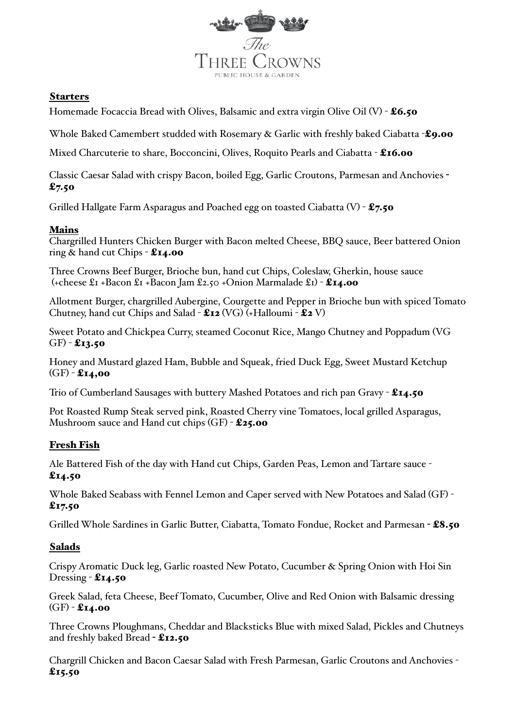

#### Starters

Homemade Focaccia Bread with Olives, Balsamic and extra virgin Olive Oil (V) -  $\pounds 6.50$ 

Whole Baked Camembert studded with Rosemary & Garlic with freshly baked Ciabatta -£9.00

Mixed Charcuterie to share, Bocconcini, Olives, Roquito Pearls and Ciabatta - £16.00

Classic Caesar Salad with crispy Bacon, boiled Egg, Garlic Croutons, Parmesan and Anchovies -  $£7.50$ 

Grilled Hallgate Farm Asparagus and Poached egg on toasted Ciabatta  $(V)$  - £7.50

### Mains

Chargrilled Hunters Chicken Burger with Bacon melted Cheese, BBQ sauce, Beer battered Onion ring  $\&$  hand cut Chips  $-$  £14.00

Three Crowns Beef Burger, Brioche bun, hand cut Chips, Coleslaw, Gherkin, house sauce (+cheese  $\pounds$ 1 +Bacon  $\pounds$ 1 +Bacon Jam  $\pounds$ 2.50 +Onion Marmalade  $\pounds$ 1) - £14.00

Allotment Burger, chargrilled Aubergine, Courgette and Pepper in Brioche bun with spiced Tomato Chutney, hand cut Chips and Salad -  $\text{E12}$  (VG) (+Halloumi -  $\text{E2}$  V)

Sweet Potato and Chickpea Curry, steamed Coconut Rice, Mango Chutney and Poppadum (VG  $GF - £13.50$ 

Honey and Mustard glazed Ham, Bubble and Squeak, fried Duck Egg, Sweet Mustard Ketchup  $(GF) - £14,00$ 

Trio of Cumberland Sausages with buttery Mashed Potatoes and rich pan Gravy - £14.50

Pot Roasted Rump Steak served pink, Roasted Cherry vine Tomatoes, local grilled Asparagus, Mushroom sauce and Hand cut chips (GF) - £25.00

# Fresh Fish

Ale Battered Fish of the day with Hand cut Chips, Garden Peas, Lemon and Tartare sauce -  $£14.50$ 

Whole Baked Seabass with Fennel Lemon and Caper served with New Potatoes and Salad (GF) -  $£17.50$ 

Grilled Whole Sardines in Garlic Butter, Ciabatta, Tomato Fondue, Rocket and Parmesan - £8.50

# Salads

Crispy Aromatic Duck leg, Garlic roasted New Potato, Cucumber & Spring Onion with Hoi Sin Dressing  $-$  £14.50

Greek Salad, feta Cheese, Beef Tomato, Cucumber, Olive and Red Onion with Balsamic dressing  $(GF) - 214.00$ 

Three Crowns Ploughmans, Cheddar and Blacksticks Blue with mixed Salad, Pickles and Chutneys and freshly baked Bread - £12.50

Chargrill Chicken and Bacon Caesar Salad with Fresh Parmesan, Garlic Croutons and Anchovies -  $£15.50$